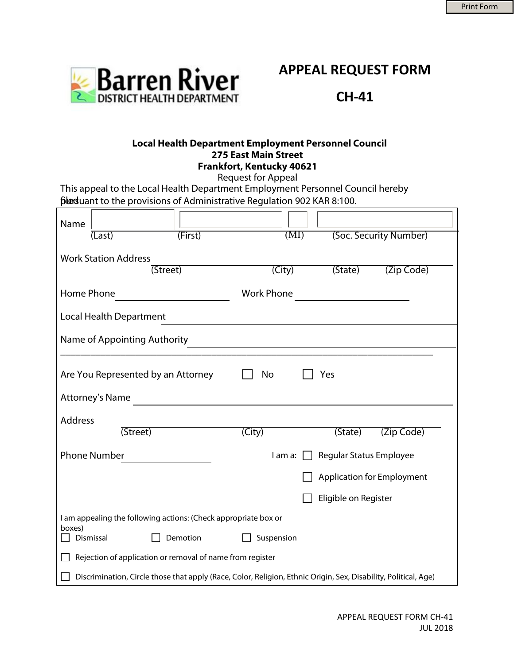

**APPEAL REQUEST FORM** 

**CH-41** 

## **Local Health Department Employment Personnel Council 275 East Main Street Frankfort, Kentucky 40621**

Request for Appeal

This appeal to the Local Health Department Employment Personnel Council hereby filed want to the provisions of Administrative Regulation 902 KAR 8:100.

| Name                                                                                                            | (Last)    | (First)  | (MI)                               |                      | (Soc. Security Number)            |  |
|-----------------------------------------------------------------------------------------------------------------|-----------|----------|------------------------------------|----------------------|-----------------------------------|--|
| <b>Work Station Address</b><br>$(\overline{City})$<br>(State)<br>(Zip Code)<br>(Street)                         |           |          |                                    |                      |                                   |  |
|                                                                                                                 |           |          |                                    |                      |                                   |  |
| Home Phone                                                                                                      |           |          | <b>Work Phone</b>                  |                      |                                   |  |
| <b>Local Health Department</b>                                                                                  |           |          |                                    |                      |                                   |  |
| Name of Appointing Authority<br><u> 1980 - Johann Barn, amerikansk politiker (d. 1980)</u>                      |           |          |                                    |                      |                                   |  |
| Are You Represented by an Attorney<br>No<br>Yes<br><b>Attorney's Name</b>                                       |           |          |                                    |                      |                                   |  |
| <b>Address</b>                                                                                                  |           |          |                                    |                      |                                   |  |
|                                                                                                                 | (Street)  |          | $(\overline{City})$                | (State)              | (Zip Code)                        |  |
| <b>Phone Number</b>                                                                                             |           |          | Regular Status Employee<br>I am a: |                      |                                   |  |
|                                                                                                                 |           |          |                                    |                      | <b>Application for Employment</b> |  |
|                                                                                                                 |           |          |                                    | Eligible on Register |                                   |  |
| I am appealing the following actions: (Check appropriate box or<br>boxes)                                       |           |          |                                    |                      |                                   |  |
|                                                                                                                 | Dismissal | Demotion | Suspension                         |                      |                                   |  |
| Rejection of application or removal of name from register                                                       |           |          |                                    |                      |                                   |  |
| Discrimination, Circle those that apply (Race, Color, Religion, Ethnic Origin, Sex, Disability, Political, Age) |           |          |                                    |                      |                                   |  |